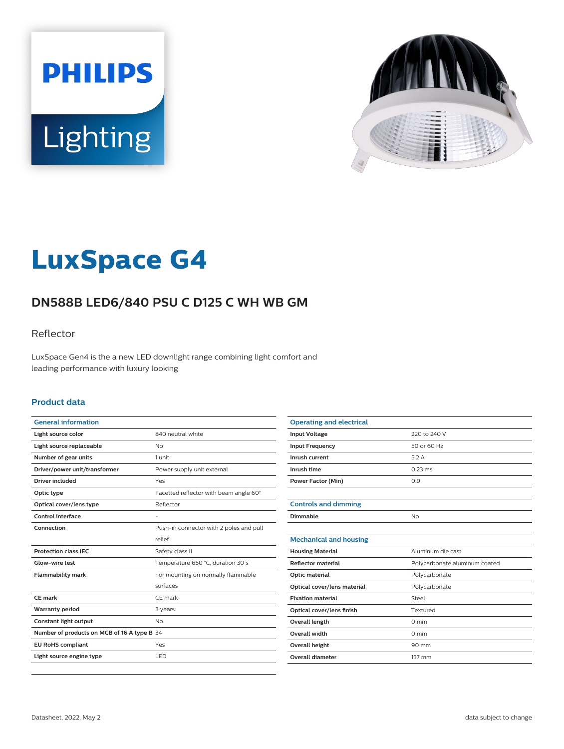



# **LuxSpace G4**

# **DN588B LED6/840 PSU C D125 C WH WB GM**

### Reflector

LuxSpace Gen4 is the a new LED downlight range combining light comfort and leading performance with luxury looking

#### **Product data**

| <b>General information</b>                  |                                         |
|---------------------------------------------|-----------------------------------------|
| Light source color                          | 840 neutral white                       |
| Light source replaceable                    | No                                      |
| Number of gear units                        | 1 unit                                  |
| Driver/power unit/transformer               | Power supply unit external              |
| Driver included                             | Yes                                     |
| Optic type                                  | Facetted reflector with beam angle 60°  |
| Optical cover/lens type                     | Reflector                               |
| Control interface                           |                                         |
| Connection                                  | Push-in connector with 2 poles and pull |
|                                             | relief                                  |
| <b>Protection class IEC</b>                 | Safety class II                         |
| Glow-wire test                              | Temperature 650 °C, duration 30 s       |
| <b>Flammability mark</b>                    | For mounting on normally flammable      |
|                                             | surfaces                                |
| <b>CE</b> mark                              | CE mark                                 |
| <b>Warranty period</b>                      | 3 years                                 |
| Constant light output                       | N <sub>o</sub>                          |
| Number of products on MCB of 16 A type B 34 |                                         |
| <b>EU RoHS compliant</b>                    | Yes                                     |
| Light source engine type                    | LED                                     |
|                                             |                                         |

| <b>Operating and electrical</b> |                               |
|---------------------------------|-------------------------------|
| <b>Input Voltage</b>            | 220 to 240 V                  |
| <b>Input Frequency</b>          | 50 or 60 Hz                   |
| Inrush current                  | 5.2A                          |
| Inrush time                     | $0.23 \text{ ms}$             |
| <b>Power Factor (Min)</b>       | 0.9                           |
|                                 |                               |
| <b>Controls and dimming</b>     |                               |
| Dimmable                        | No                            |
|                                 |                               |
| <b>Mechanical and housing</b>   |                               |
| <b>Housing Material</b>         | Aluminum die cast             |
| <b>Reflector material</b>       | Polycarbonate aluminum coated |
| Optic material                  | Polycarbonate                 |
| Optical cover/lens material     | Polycarbonate                 |
| <b>Fixation material</b>        | Steel                         |
| Optical cover/lens finish       | Textured                      |
| <b>Overall length</b>           | $0 \text{ mm}$                |
| Overall width                   | $0 \text{ mm}$                |
| <b>Overall height</b>           | 90 mm                         |
| Overall diameter                | 137 mm                        |
|                                 |                               |